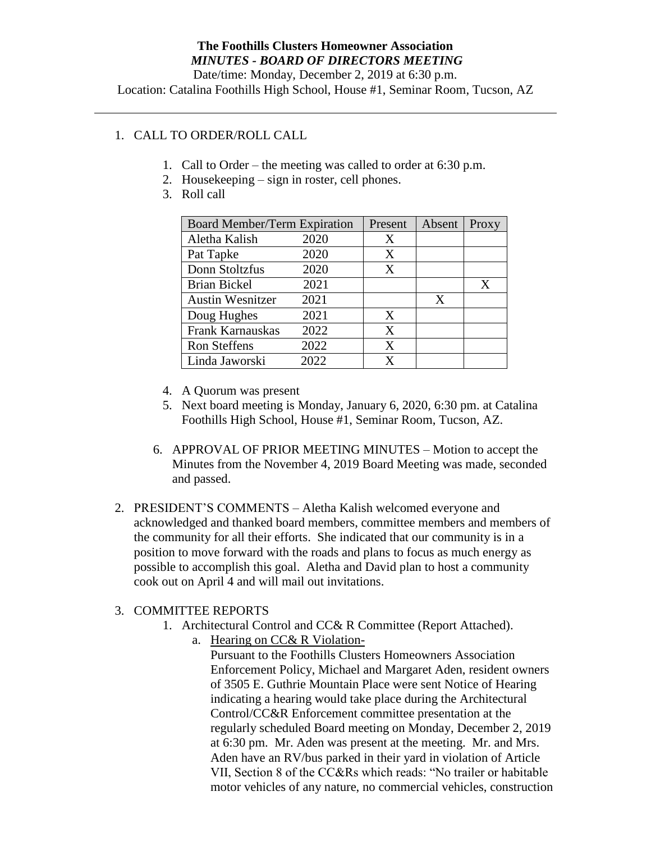Date/time: Monday, December 2, 2019 at 6:30 p.m. Location: Catalina Foothills High School, House #1, Seminar Room, Tucson, AZ

## 1. CALL TO ORDER/ROLL CALL

- 1. Call to Order the meeting was called to order at 6:30 p.m.
- 2. Housekeeping sign in roster, cell phones.
- 3. Roll call

| <b>Board Member/Term Expiration</b> |      | Present | Absent | Proxy |
|-------------------------------------|------|---------|--------|-------|
| Aletha Kalish                       | 2020 | X       |        |       |
| Pat Tapke                           | 2020 | X       |        |       |
| Donn Stoltzfus                      | 2020 | X       |        |       |
| <b>Brian Bickel</b>                 | 2021 |         |        | X     |
| <b>Austin Wesnitzer</b>             | 2021 |         | X      |       |
| Doug Hughes                         | 2021 | X       |        |       |
| Frank Karnauskas                    | 2022 | X       |        |       |
| <b>Ron Steffens</b>                 | 2022 | X       |        |       |
| Linda Jaworski                      | 2022 | x       |        |       |

- 4. A Quorum was present
- 5. Next board meeting is Monday, January 6, 2020, 6:30 pm. at Catalina Foothills High School, House #1, Seminar Room, Tucson, AZ.
- 6. APPROVAL OF PRIOR MEETING MINUTES Motion to accept the Minutes from the November 4, 2019 Board Meeting was made, seconded and passed.
- 2. PRESIDENT'S COMMENTS Aletha Kalish welcomed everyone and acknowledged and thanked board members, committee members and members of the community for all their efforts. She indicated that our community is in a position to move forward with the roads and plans to focus as much energy as possible to accomplish this goal. Aletha and David plan to host a community cook out on April 4 and will mail out invitations.

## 3. COMMITTEE REPORTS

- 1. Architectural Control and CC& R Committee (Report Attached).
	- a. Hearing on CC& R Violation-

Pursuant to the Foothills Clusters Homeowners Association Enforcement Policy, Michael and Margaret Aden, resident owners of 3505 E. Guthrie Mountain Place were sent Notice of Hearing indicating a hearing would take place during the Architectural Control/CC&R Enforcement committee presentation at the regularly scheduled Board meeting on Monday, December 2, 2019 at 6:30 pm. Mr. Aden was present at the meeting. Mr. and Mrs. Aden have an RV/bus parked in their yard in violation of Article VII, Section 8 of the CC&Rs which reads: "No trailer or habitable motor vehicles of any nature, no commercial vehicles, construction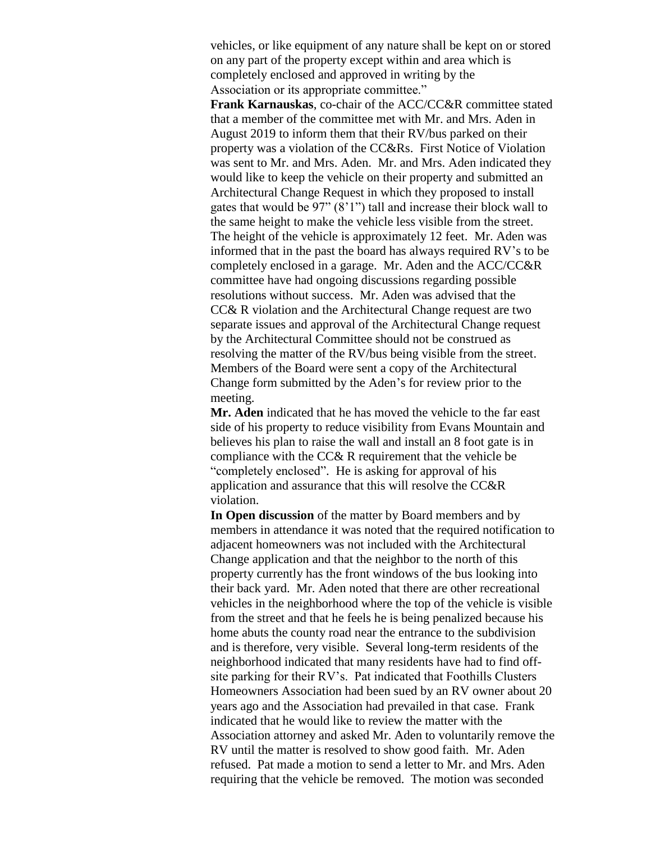vehicles, or like equipment of any nature shall be kept on or stored on any part of the property except within and area which is completely enclosed and approved in writing by the Association or its appropriate committee."

**Frank Karnauskas**, co-chair of the ACC/CC&R committee stated that a member of the committee met with Mr. and Mrs. Aden in August 2019 to inform them that their RV/bus parked on their property was a violation of the CC&Rs. First Notice of Violation was sent to Mr. and Mrs. Aden. Mr. and Mrs. Aden indicated they would like to keep the vehicle on their property and submitted an Architectural Change Request in which they proposed to install gates that would be 97" (8'1") tall and increase their block wall to the same height to make the vehicle less visible from the street. The height of the vehicle is approximately 12 feet. Mr. Aden was informed that in the past the board has always required RV's to be completely enclosed in a garage. Mr. Aden and the ACC/CC&R committee have had ongoing discussions regarding possible resolutions without success. Mr. Aden was advised that the CC& R violation and the Architectural Change request are two separate issues and approval of the Architectural Change request by the Architectural Committee should not be construed as resolving the matter of the RV/bus being visible from the street. Members of the Board were sent a copy of the Architectural Change form submitted by the Aden's for review prior to the meeting.

**Mr. Aden** indicated that he has moved the vehicle to the far east side of his property to reduce visibility from Evans Mountain and believes his plan to raise the wall and install an 8 foot gate is in compliance with the CC& R requirement that the vehicle be "completely enclosed". He is asking for approval of his application and assurance that this will resolve the CC&R violation.

**In Open discussion** of the matter by Board members and by members in attendance it was noted that the required notification to adjacent homeowners was not included with the Architectural Change application and that the neighbor to the north of this property currently has the front windows of the bus looking into their back yard. Mr. Aden noted that there are other recreational vehicles in the neighborhood where the top of the vehicle is visible from the street and that he feels he is being penalized because his home abuts the county road near the entrance to the subdivision and is therefore, very visible. Several long-term residents of the neighborhood indicated that many residents have had to find offsite parking for their RV's. Pat indicated that Foothills Clusters Homeowners Association had been sued by an RV owner about 20 years ago and the Association had prevailed in that case. Frank indicated that he would like to review the matter with the Association attorney and asked Mr. Aden to voluntarily remove the RV until the matter is resolved to show good faith. Mr. Aden refused. Pat made a motion to send a letter to Mr. and Mrs. Aden requiring that the vehicle be removed. The motion was seconded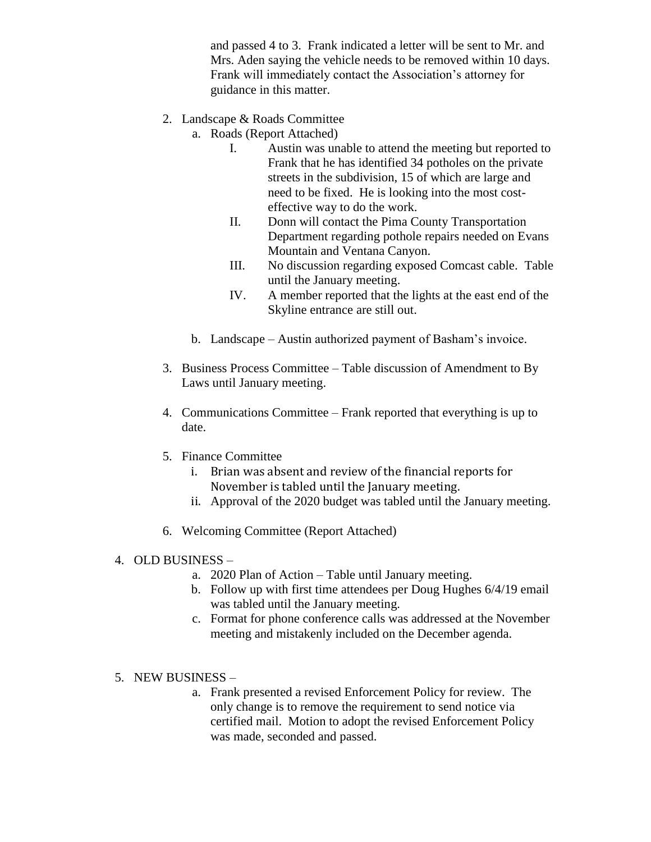and passed 4 to 3. Frank indicated a letter will be sent to Mr. and Mrs. Aden saying the vehicle needs to be removed within 10 days. Frank will immediately contact the Association's attorney for guidance in this matter.

- 2. Landscape & Roads Committee
	- a. Roads (Report Attached)
		- I. Austin was unable to attend the meeting but reported to Frank that he has identified 34 potholes on the private streets in the subdivision, 15 of which are large and need to be fixed. He is looking into the most costeffective way to do the work.
		- II. Donn will contact the Pima County Transportation Department regarding pothole repairs needed on Evans Mountain and Ventana Canyon.
		- III. No discussion regarding exposed Comcast cable. Table until the January meeting.
		- IV. A member reported that the lights at the east end of the Skyline entrance are still out.
	- b. Landscape Austin authorized payment of Basham's invoice.
- 3. Business Process Committee Table discussion of Amendment to By Laws until January meeting.
- 4. Communications Committee Frank reported that everything is up to date.
- 5. Finance Committee
	- i. Brian was absent and review of the financial reports for November is tabled until the January meeting.
	- ii. Approval of the 2020 budget was tabled until the January meeting.
- 6. Welcoming Committee (Report Attached)

## 4. OLD BUSINESS –

- a. 2020 Plan of Action Table until January meeting.
- b. Follow up with first time attendees per Doug Hughes 6/4/19 email was tabled until the January meeting.
- c. Format for phone conference calls was addressed at the November meeting and mistakenly included on the December agenda.
- 5. NEW BUSINESS
	- a. Frank presented a revised Enforcement Policy for review. The only change is to remove the requirement to send notice via certified mail. Motion to adopt the revised Enforcement Policy was made, seconded and passed.